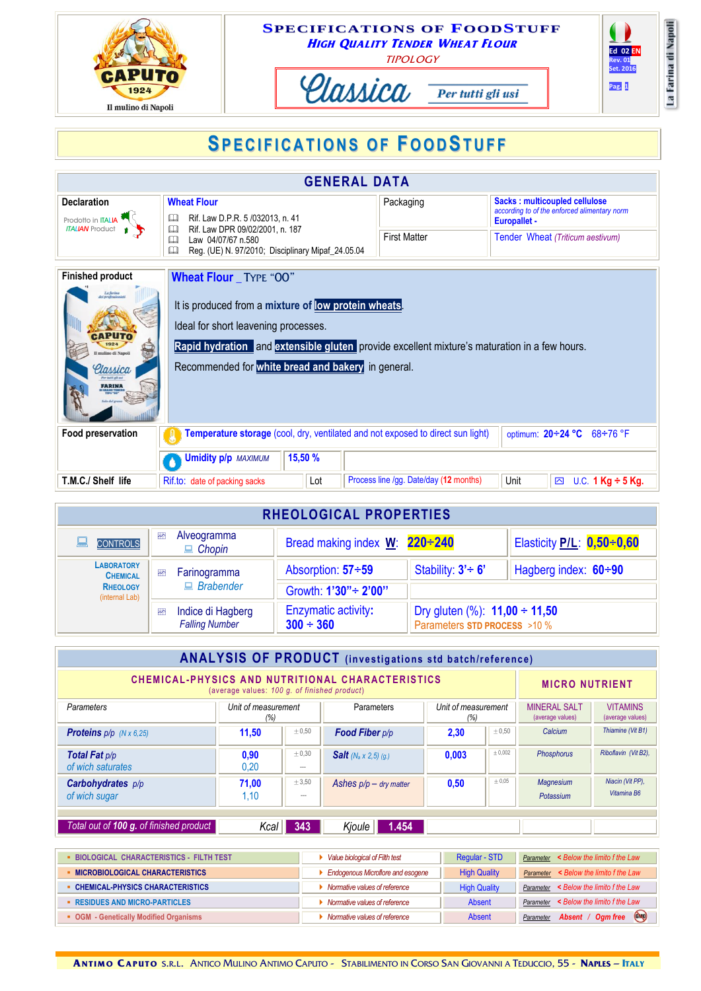

## **SPECIFICATIONS OF FOODSTUFF HIGH QUALITY TENDER WHEAT FLOUR TIPOLOGY**







## **SP ECI F ICAT IONS OF FOODSTUF F**

| <b>GENERAL DATA</b>                                                                                         |                                                                                                                                                                                                                                                                                    |                                        |                                                                                                      |  |  |  |  |  |  |
|-------------------------------------------------------------------------------------------------------------|------------------------------------------------------------------------------------------------------------------------------------------------------------------------------------------------------------------------------------------------------------------------------------|----------------------------------------|------------------------------------------------------------------------------------------------------|--|--|--|--|--|--|
| <b>Declaration</b><br>Prodotto in ITALIA<br><b>ITALIAN</b> Product                                          | <b>Wheat Flour</b><br>Rif. Law D.P.R. 5 /032013, n. 41<br>田                                                                                                                                                                                                                        | Packaging                              | Sacks: multicoupled cellulose<br>according to of the enforced alimentary norm<br><b>Europallet -</b> |  |  |  |  |  |  |
|                                                                                                             | $\mathbf{\Omega}$<br>Rif. Law DPR 09/02/2001, n. 187<br>Law 04/07/67 n.580<br>◫<br>$\Box$<br>Reg. (UE) N. 97/2010; Disciplinary Mipaf_24.05.04                                                                                                                                     | <b>First Matter</b>                    | Tender Wheat (Triticum aestivum)                                                                     |  |  |  |  |  |  |
| <b>Finished product</b><br>La farina<br>Ici professionisti<br>mulino di Napoli<br>llassica<br><b>FARINA</b> | <b>Wheat Flour</b> TYPE "OO"<br>It is produced from a mixture of low protein wheats.<br>Ideal for short leavening processes.<br>Rapid hydration and extensible gluten provide excellent mixture's maturation in a few hours.<br>Recommended for white bread and bakery in general. |                                        |                                                                                                      |  |  |  |  |  |  |
| Food preservation                                                                                           | Temperature storage (cool, dry, ventilated and not exposed to direct sun light)<br>optimum: 20÷24 °C 68÷76 °F                                                                                                                                                                      |                                        |                                                                                                      |  |  |  |  |  |  |
|                                                                                                             | 15,50 %<br><b>Umidity p/p MAXIMUM</b>                                                                                                                                                                                                                                              |                                        |                                                                                                      |  |  |  |  |  |  |
| T.M.C./ Shelf life                                                                                          | Lot<br>Rif.to: date of packing sacks                                                                                                                                                                                                                                               | Process line /gg. Date/day (12 months) | Unit<br>U.C. 1 $Kg \div 5 Kg$ .<br>⊠                                                                 |  |  |  |  |  |  |

| <b>RHEOLOGICAL PROPERTIES</b>        |                |                                            |                                              |                                                                    |                             |  |  |  |
|--------------------------------------|----------------|--------------------------------------------|----------------------------------------------|--------------------------------------------------------------------|-----------------------------|--|--|--|
| <b>CONTROLS</b>                      | $\blacksquare$ | Alveogramma<br>$\Box$ Chopin               | Bread making index $W: 220 \div 240$         |                                                                    | Elasticity P/L: 0,50÷0,60   |  |  |  |
| <b>LABORATORY</b><br><b>CHEMICAL</b> | $\rightarrow$  | Farinogramma<br>$B$ rabender               | Absorption: 57÷59                            | Stability: $3' \div 6'$                                            | Hagberg index: $60 \div 90$ |  |  |  |
| <b>RHEOLOGY</b><br>(internal Lab)    |                |                                            | Growth: 1'30" ÷ 2'00"                        |                                                                    |                             |  |  |  |
|                                      | $\rightarrow$  | Indice di Hagberg<br><b>Falling Number</b> | <b>Enzymatic activity:</b><br>$300 \div 360$ | Dry gluten (%): $11,00 \div 11,50$<br>Parameters STD PROCESS >10 % |                             |  |  |  |

| <b>ANALYSIS OF PRODUCT</b> (investigations std batch/reference)                                                                  |                            |                       |                                 |                            |             |                                         |                                     |  |
|----------------------------------------------------------------------------------------------------------------------------------|----------------------------|-----------------------|---------------------------------|----------------------------|-------------|-----------------------------------------|-------------------------------------|--|
| <b>CHEMICAL-PHYSICS AND NUTRITIONAL CHARACTERISTICS</b><br><b>MICRO NUTRIENT</b><br>(average values: 100 g. of finished product) |                            |                       |                                 |                            |             |                                         |                                     |  |
| <b>Parameters</b>                                                                                                                | Unit of measurement<br>(%) |                       | Parameters                      | Unit of measurement<br>(%) |             | <b>MINERAL SALT</b><br>(average values) | <b>VITAMINS</b><br>(average values) |  |
| <b>Proteins</b> $p/p$ ( $N \times 6,25$ )                                                                                        | 11,50                      | ± 0.50                | Food Fiber p/p                  | 2,30                       | $\pm 0.50$  | Calcium                                 | Thiamine (Vit B1)                   |  |
| <b>Total Fat p/p</b><br>of wich saturates                                                                                        | 0,90<br>0.20               | $\pm 0.30$<br>$- - -$ | <b>Salt</b> ( $N_a$ x 2,5) (g.) | 0.003                      | $\pm 0,002$ | Phosphorus                              | Riboflavin (Vit B2).                |  |
| <b>Carbohydrates</b> $p/p$<br>of wich sugar                                                                                      | 71,00<br>1,10              | ± 3,50<br>$\cdots$    | Ashes $p/p - dry$ matter        | 0,50                       | ± 0.05      | <b>Magnesium</b><br>Potassium           | Niacin (Vit PP),<br>Vitamina B6     |  |
|                                                                                                                                  |                            |                       |                                 |                            |             |                                         |                                     |  |
| Total out of 100 q. of finished product                                                                                          | Kcal                       | 343                   | Kjoule<br>1.454                 |                            |             |                                         |                                     |  |

| <b>- BIOLOGICAL CHARACTERISTICS - FILTH TEST</b> | Value biological of Filth test           | Regular - STD       | < Below the limito f the Law<br>Parameter |
|--------------------------------------------------|------------------------------------------|---------------------|-------------------------------------------|
| <b>MICROBIOLOGICAL CHARACTERISTICS</b>           | <b>Endogenous Microflore and esogene</b> | <b>High Quality</b> | Parameter < Below the limito f the Law    |
| - CHEMICAL-PHYSICS CHARACTERISTICS               | Normative values of reference            | <b>High Quality</b> | Parameter < Below the limito f the Law    |
| <b>EXECUTES AND MICRO-PARTICLES</b>              | Normative values of reference            | Absent              | Parameter < Below the limito f the Law    |
| • OGM - Genetically Modified Organisms           | Normative values of reference            | Absent              | Absent / Ogm free CMO<br>Parameter        |